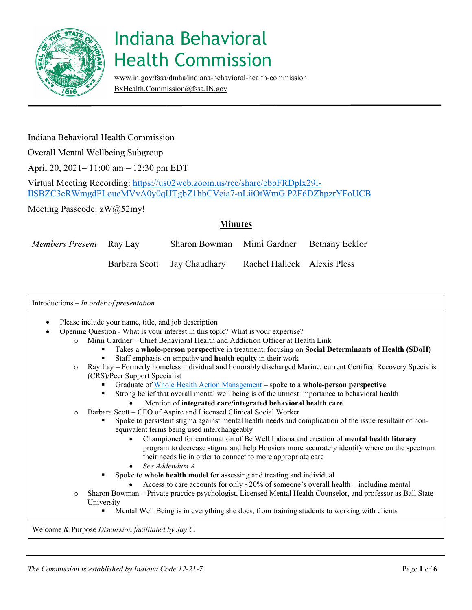

[www.in.gov/fssa/dmha/indiana-behavioral-health-commission](http://www.in.gov/fssa/dmha/indiana-behavioral-health-commission)  [BxHealth.Commission@fssa.IN.gov](mailto:BxHealth.Commission@fssa.IN.gov)

### Indiana Behavioral Health Commission

Overall Mental Wellbeing Subgroup

April 20, 2021– 11:00 am – 12:30 pm EDT

Virtual Meeting Recording: [https://us02web.zoom.us/rec/share/ebbFRDplx29l-](https://us02web.zoom.us/rec/share/ebbFRDplx29l-IlSBZC3eRWmgdFLoueMVvA0y0qIJTgbZ1hbCVeia7-nLiiOtWmG.P2F6DZhpzrYFoUCB)[IlSBZC3eRWmgdFLoueMVvA0y0qIJTgbZ1hbCVeia7-nLiiOtWmG.P2F6DZhpzrYFoUCB](https://us02web.zoom.us/rec/share/ebbFRDplx29l-IlSBZC3eRWmgdFLoueMVvA0y0qIJTgbZ1hbCVeia7-nLiiOtWmG.P2F6DZhpzrYFoUCB)

Meeting Passcode: zW@52my!

### **Minutes**

| <i>Members Present</i> Ray Lay | Sharon Bowman Mimi Gardner Bethany Ecklor               |  |
|--------------------------------|---------------------------------------------------------|--|
|                                | Barbara Scott Jay Chaudhary Rachel Halleck Alexis Pless |  |

|          | Please include your name, title, and job description<br>Opening Question - What is your interest in this topic? What is your expertise?                                                                                                                           |
|----------|-------------------------------------------------------------------------------------------------------------------------------------------------------------------------------------------------------------------------------------------------------------------|
| $\Omega$ | Mimi Gardner - Chief Behavioral Health and Addiction Officer at Health Link                                                                                                                                                                                       |
|          | Takes a whole-person perspective in treatment, focusing on Social Determinants of Health (SDoH)                                                                                                                                                                   |
|          | Staff emphasis on empathy and health equity in their work                                                                                                                                                                                                         |
| $\circ$  | Ray Lay - Formerly homeless individual and honorably discharged Marine; current Certified Recovery Specialist                                                                                                                                                     |
|          | (CRS)/Peer Support Specialist                                                                                                                                                                                                                                     |
|          | Graduate of Whole Health Action Management - spoke to a whole-person perspective                                                                                                                                                                                  |
|          | Strong belief that overall mental well being is of the utmost importance to behavioral health                                                                                                                                                                     |
|          | Mention of integrated care/integrated behavioral health care                                                                                                                                                                                                      |
| $\circ$  | Barbara Scott – CEO of Aspire and Licensed Clinical Social Worker                                                                                                                                                                                                 |
|          | Spoke to persistent stigma against mental health needs and complication of the issue resultant of non-<br>equivalent terms being used interchangeably                                                                                                             |
|          | Championed for continuation of Be Well Indiana and creation of mental health literacy<br>$\bullet$<br>program to decrease stigma and help Hoosiers more accurately identify where on the spectrum<br>their needs lie in order to connect to more appropriate care |
|          | See Addendum A                                                                                                                                                                                                                                                    |
|          | Spoke to whole health model for assessing and treating and individual                                                                                                                                                                                             |
|          | Access to care accounts for only $\sim$ 20% of someone's overall health – including mental                                                                                                                                                                        |
| $\circ$  | Sharon Bowman - Private practice psychologist, Licensed Mental Health Counselor, and professor as Ball State                                                                                                                                                      |
|          | University                                                                                                                                                                                                                                                        |
|          | Mental Well Being is in everything she does, from training students to working with clients                                                                                                                                                                       |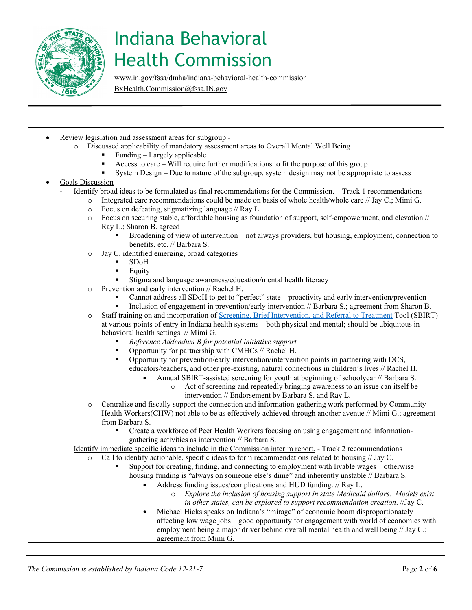

[www.in.gov/fssa/dmha/indiana-behavioral-health-commission](http://www.in.gov/fssa/dmha/indiana-behavioral-health-commission) 

[BxHealth.Commission@fssa.IN.gov](mailto:BxHealth.Commission@fssa.IN.gov)

- Review legislation and assessment areas for subgroup
	- o Discussed applicability of mandatory assessment areas to Overall Mental Well Being
		- Funding Largely applicable
		- Access to care Will require further modifications to fit the purpose of this group
		- System Design Due to nature of the subgroup, system design may not be appropriate to assess

#### Goals Discussion

- Identify broad ideas to be formulated as final recommendations for the Commission. Track 1 recommendations
	- o Integrated care recommendations could be made on basis of whole health/whole care // Jay C.; Mimi G.
	- $\circ$  Focus on defeating, stigmatizing language // Ray L.<br> $\circ$  Focus on securing stable, affordable housing as four
	- Focus on securing stable, affordable housing as foundation of support, self-empowerment, and elevation //
		- Ray L.; Sharon B. agreed
			- Broadening of view of intervention not always providers, but housing, employment, connection to benefits, etc. // Barbara S.
	- o Jay C. identified emerging, broad categories
		- $\bullet$  SDoH
		- Equity
		- Stigma and language awareness/education/mental health literacy
	- o Prevention and early intervention // Rachel H.
		- Cannot address all SDoH to get to "perfect" state proactivity and early intervention/prevention
		- Inclusion of engagement in prevention/early intervention // Barbara S.; agreement from Sharon B.

o Staff training on and incorporation of [Screening, Brief Intervention, and Referral to Treatment](https://www.samhsa.gov/sbirt) Tool (SBIRT) at various points of entry in Indiana health systems – both physical and mental; should be ubiquitous in behavioral health settings // Mimi G.

- *Reference Addendum B for potential initiative support*
- Opportunity for partnership with CMHCs // Rachel H.
- Opportunity for prevention/early intervention/intervention points in partnering with DCS, educators/teachers, and other pre-existing, natural connections in children's lives // Rachel H.
	- Annual SBIRT-assisted screening for youth at beginning of schoolyear // Barbara S.
		- o Act of screening and repeatedly bringing awareness to an issue can itself be intervention // Endorsement by Barbara S. and Ray L.
- o Centralize and fiscally support the connection and information-gathering work performed by Community Health Workers(CHW) not able to be as effectively achieved through another avenue // Mimi G.; agreement from Barbara S.
	- Create a workforce of Peer Health Workers focusing on using engagement and informationgathering activities as intervention // Barbara S.
- Identify immediate specific ideas to include in the Commission interim report. Track 2 recommendations
	- o Call to identify actionable, specific ideas to form recommendations related to housing // Jay C.
		- Support for creating, finding, and connecting to employment with livable wages otherwise housing funding is "always on someone else's dime" and inherently unstable // Barbara S.
			- Address funding issues/complications and HUD funding. // Ray L.
				- o *Explore the inclusion of housing support in state Medicaid dollars. Models exist in other states, can be explored to support recommendation creation*. //Jay C.
			- Michael Hicks speaks on Indiana's "mirage" of economic boom disproportionately affecting low wage jobs – good opportunity for engagement with world of economics with employment being a major driver behind overall mental health and well being // Jay C.; agreement from Mimi G.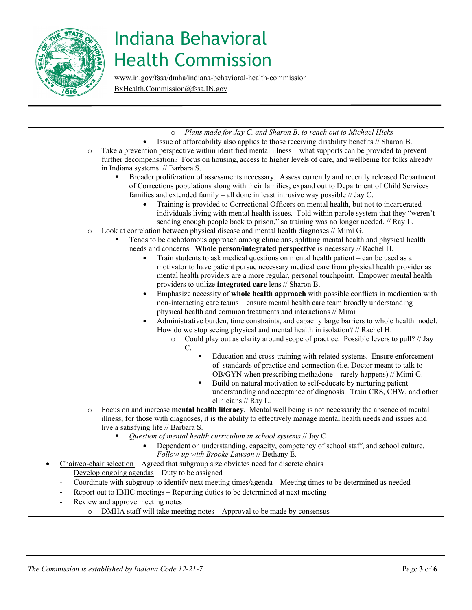

[www.in.gov/fssa/dmha/indiana-behavioral-health-commission](http://www.in.gov/fssa/dmha/indiana-behavioral-health-commission)  [BxHealth.Commission@fssa.IN.gov](mailto:BxHealth.Commission@fssa.IN.gov)

o *Plans made for Jay C. and Sharon B. to reach out to Michael Hicks* • Issue of affordability also applies to those receiving disability benefits // Sharon B. o Take a prevention perspective within identified mental illness – what supports can be provided to prevent further decompensation? Focus on housing, access to higher levels of care, and wellbeing for folks already in Indiana systems. // Barbara S. Broader proliferation of assessments necessary. Assess currently and recently released Department of Corrections populations along with their families; expand out to Department of Child Services families and extended family – all done in least intrusive way possible // Jay C. • Training is provided to Correctional Officers on mental health, but not to incarcerated individuals living with mental health issues. Told within parole system that they "weren't sending enough people back to prison," so training was no longer needed. // Ray L. o Look at correlation between physical disease and mental health diagnoses // Mimi G. Tends to be dichotomous approach among clinicians, splitting mental health and physical health needs and concerns. **Whole person/integrated perspective** is necessary // Rachel H. • Train students to ask medical questions on mental health patient – can be used as a motivator to have patient pursue necessary medical care from physical health provider as mental health providers are a more regular, personal touchpoint. Empower mental health providers to utilize **integrated care** lens // Sharon B. • Emphasize necessity of **whole health approach** with possible conflicts in medication with non-interacting care teams – ensure mental health care team broadly understanding physical health and common treatments and interactions // Mimi • Administrative burden, time constraints, and capacity large barriers to whole health model. How do we stop seeing physical and mental health in isolation? // Rachel H. o Could play out as clarity around scope of practice. Possible levers to pull? // Jay C. Education and cross-training with related systems. Ensure enforcement of standards of practice and connection (i.e. Doctor meant to talk to OB/GYN when prescribing methadone – rarely happens) // Mimi G. Build on natural motivation to self-educate by nurturing patient understanding and acceptance of diagnosis. Train CRS, CHW, and other clinicians // Ray L. o Focus on and increase **mental health literacy**. Mental well being is not necessarily the absence of mental illness; for those with diagnoses, it is the ability to effectively manage mental health needs and issues and live a satisfying life // Barbara S. *Question of mental health curriculum in school systems* // Jay C • Dependent on understanding, capacity, competency of school staff, and school culture. *Follow-up with Brooke Lawson* // Bethany E. • Chair/co-chair selection – Agreed that subgroup size obviates need for discrete chairs Develop ongoing agendas  $-$  Duty to be assigned Coordinate with subgroup to identify next meeting times/agenda - Meeting times to be determined as needed Report out to IBHC meetings – Reporting duties to be determined at next meeting Review and approve meeting notes o DMHA staff will take meeting notes – Approval to be made by consensus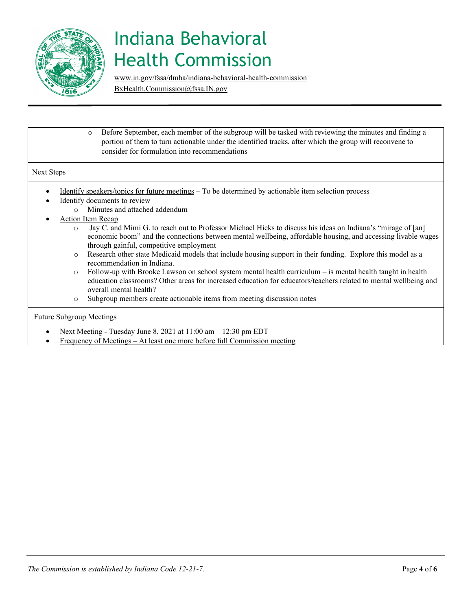

[www.in.gov/fssa/dmha/indiana-behavioral-health-commission](http://www.in.gov/fssa/dmha/indiana-behavioral-health-commission) 

[BxHealth.Commission@fssa.IN.gov](mailto:BxHealth.Commission@fssa.IN.gov)

o Before September, each member of the subgroup will be tasked with reviewing the minutes and finding a portion of them to turn actionable under the identified tracks, after which the group will reconvene to consider for formulation into recommendations

#### Next Steps

- Identify speakers/topics for future meetings To be determined by actionable item selection process
	- Identify documents to review
		- o Minutes and attached addendum
- Action Item Recap
	- o Jay C. and Mimi G. to reach out to Professor Michael Hicks to discuss his ideas on Indiana's "mirage of [an] economic boom" and the connections between mental wellbeing, affordable housing, and accessing livable wages through gainful, competitive employment
	- o Research other state Medicaid models that include housing support in their funding. Explore this model as a recommendation in Indiana.
	- $\circ$  Follow-up with Brooke Lawson on school system mental health curriculum is mental health taught in health education classrooms? Other areas for increased education for educators/teachers related to mental wellbeing and overall mental health?
	- o Subgroup members create actionable items from meeting discussion notes

#### Future Subgroup Meetings

- Next Meeting Tuesday June 8, 2021 at 11:00 am 12:30 pm EDT
- Frequency of Meetings At least one more before full Commission meeting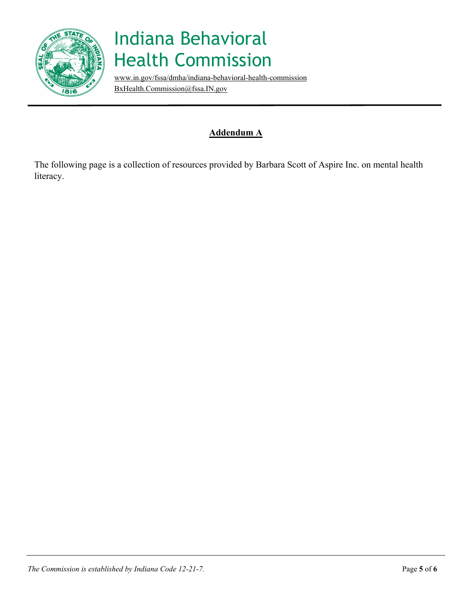

[www.in.gov/fssa/dmha/indiana-behavioral-health-commission](http://www.in.gov/fssa/dmha/indiana-behavioral-health-commission)  [BxHealth.Commission@fssa.IN.gov](mailto:BxHealth.Commission@fssa.IN.gov)

### **Addendum A**

The following page is a collection of resources provided by Barbara Scott of Aspire Inc. on mental health literacy.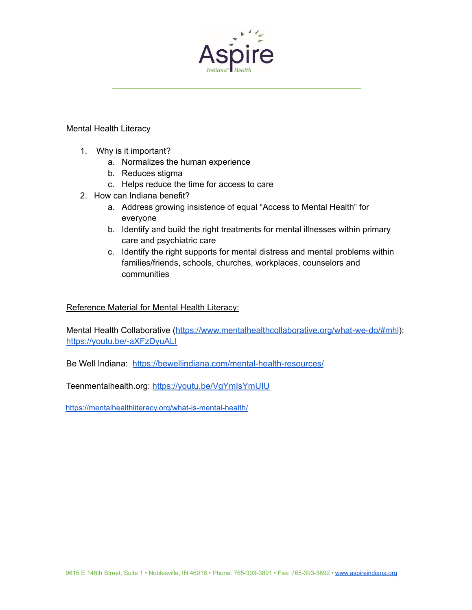

#### Mental Health Literacy

- 1. Why is it important?
	- a. Normalizes the human experience
	- b. Reduces stigma
	- c. Helps reduce the time for access to care
- 2. How can Indiana benefit?
	- a. Address growing insistence of equal "Access to Mental Health" for everyone
	- b. Identify and build the right treatments for mental illnesses within primary care and psychiatric care
	- c. Identify the right supports for mental distress and mental problems within families/friends, schools, churches, workplaces, counselors and communities

### Reference Material for Mental Health Literacy:

Mental Health Collaborative (<https://www.mentalhealthcollaborative.org/what-we-do/#mhl>): <https://youtu.be/-aXFzDyuALI>

Be Well Indiana: <https://bewellindiana.com/mental-health-resources/>

Teenmentalhealth.org: <https://youtu.be/VgYmIsYmUIU>

<https://mentalhealthliteracy.org/what-is-mental-health/>